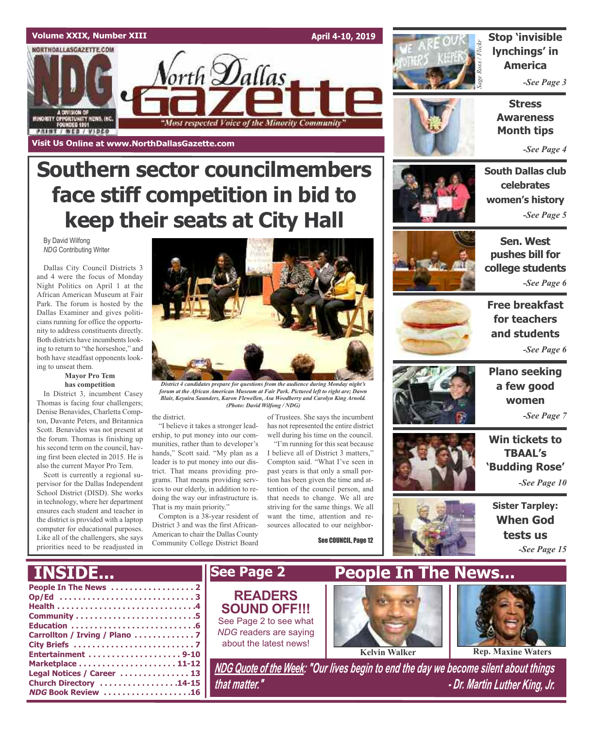### **Volume XXIX, Number XIII**

NORTHDALLASGAZETTE.COM

MINORITY OPPORTUNITY NEWS, INC.<br>FOUNDED 1991

**PRINT / WEB / VIDEO** 

**Visit Us Online at www.NorthDallasGazette.com**

**April 4-10, 2019**



**Stop 'invisible lynchings' in America**

*-See Page 3*

**Stress Awareness Month tips**

*-See Page 4*

### **South Dallas club celebrates women's history** *-See Page 5*



**Sen. West pushes bill for college students** *-See Page 6*



**Free breakfast for teachers and students** *-See Page 6*



**Plano seeking <sup>a</sup> few good women**

*-See Page 7*

**Win tickets to TBAAL's 'Budding Rose'** *-See Page 10*



**Sister Tarpley: When God tests us** *-See Page 15*



orth **D**allas

"Most respected Voice of the Minority Community"

and 4 were the focus of Monday Night Politics on April 1 at the African American Museum at Fair Park. The forum is hosted by the Dallas Examiner and gives politicians running for office the opportunity to address constituents directly. Both districts have incumbents looking to return to "the horseshoe," and both have steadfast opponents looking to unseat them.

### **Mayor Pro Tem has competition**

In District 3, incumbent Casey Thomas is facing four challengers; Denise Benavides, Charletta Compton, Davante Peters, and Britannica Scott. Benavides was not present at the forum. Thomas is finishing up his second term on the council, having first been elected in 2015. He is also the current Mayor Pro Tem.

Scott is currently a regional supervisor for the Dallas Independent School District (DISD). She works in technology, where her department ensures each student and teacher in the district is provided with a laptop computer for educational purposes. Like all of the challengers, she says priorities need to be readjusted in

**Church Directory . . . . . . . . . . . . . . . . .14-15 NDG Book Review . . . . . . . . . . . . . . . . . . .16**



*forum at the African American Museum at Fair Park. Pictured left to right are; Dawn Blair, Keyaira Saunders, Karon Flewellen, Asa Woodberry and Carolyn King Arnold. (Photo: David Wilfong / NDG)*

#### the district.

"I believe it takes a stronger leadership, to put money into our communities, rather than to developer's hands," Scott said. "My plan as a leader is to put money into our district. That means providing programs. That means providing services to our elderly, in addition to redoing the way our infrastructure is. That is my main priority."

Compton is a 38-year resident of District 3 and was the first African-American to chair the Dallas County Community College District Board

of Trustees. She says the incumbent has not represented the entire district well during his time on the council.

"I'm running for this seat because I believe all of District 3 matters," Compton said. "What I've seen in past years is that only a small portion has been given the time and attention of the council person, and that needs to change. We all are striving for the same things. We all want the time, attention and resources allocated to our neighbor-

See COUNCIL, Page 12





*that matter." - Dr. Martin Luther King, Jr.*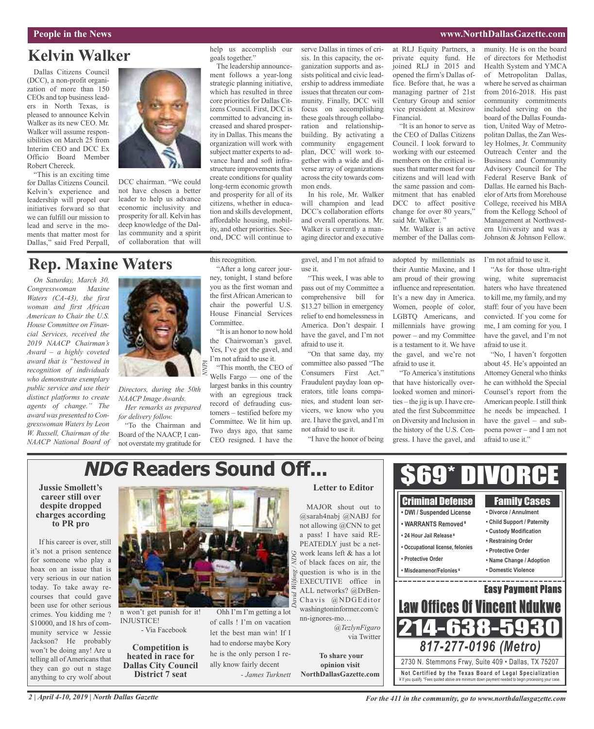### **People in the News www.NorthDallasGazette.com**

### **Kelvin Walker**

Dallas Citizens Council (DCC), a non-profit organization of more than 150 CEOs and top business leaders in North Texas, is pleased to announce Kelvin Walker as its new CEO. Mr. Walker will assume responsibilities on March 25 from Interim CEO and DCC Ex Officio Board Member Robert Chereck.

"This is an exciting time for Dallas Citizens Council. Kelvin's experience and leadership will propel our initiatives forward so that we can fulfill our mission to lead and serve in the moments that matter most for Dallas," said Fred Perpall,



DCC chairman. "We could not have chosen a better leader to help us advance economic inclusivity and prosperity for all. Kelvin has deep knowledge of the Dallas community and a spirit of collaboration that will

### **Rep. Maxine Waters**

*On Saturday, March 30, Congresswoman Maxine Waters (CA-43), the first woman and first African American to Chair the U.S. House Committee on Financial Services, received the 2019 NAACP Chairman's Award – a highly coveted award that is "bestowed in recognition of individuals who demonstrate exemplary public service and use their distinct platforms to create agents of change." The award was presented to Congresswoman Waters by Leon W. Russell, Chairman of the NAACP National Board of*



*Directors, during the 50th NAACP Image Awards. Her remarks as prepared*

*for delivery follow.* "To the Chairman and

Board of the NAACP, I cannot overstate my gratitude for help us accomplish our goals together."

The leadership announcement follows a year-long strategic planning initiative, which has resulted in three core priorities for Dallas Citizens Council. First, DCC is committed to advancing increased and shared prosperity in Dallas. This means the organization will work with subject matter experts to advance hard and soft infrastructure improvements that create conditions for quality long-term economic growth and prosperity for all of its citizens, whether in education and skills development, affordable housing, mobility, and other priorities. Second, DCC will continue to

this recognition.

Committee.

"After a long career journey, tonight, I stand before you as the first woman and the first African American to chair the powerful U.S. House Financial Services

"It is an honor to now hold the Chairwoman's gavel. Yes, I've got the gavel, and I'm not afraid to use it. "This month, the CEO of Wells Fargo — one of the largest banks in this country with an egregious track record of defrauding customers – testified before my Committee. We lit him up. Two days ago, that same CEO resigned. I have the

serve Dallas in times of crisis. In this capacity, the organization supports and assists political and civic leadership to address immediate issues that threaten our community. Finally, DCC will focus on accomplishing these goals through collaboration and relationshipbuilding. By activating a community engagement plan, DCC will work together with a wide and diverse array of organizations acrossthe city towards common ends.

In his role, Mr. Walker will champion and lead DCC's collaboration efforts and overall operations. Mr. Walker is currently a managing director and executive

gavel, and I'm not afraid to use it.

"This week, I was able to pass out of my Committee a comprehensive bill for \$13.27 billion in emergency relief to end homelessness in America. Don't despair. I have the gavel, and I'm not afraid to use it.

"On that same day, my committee also passed "The Consumers First Act." Fraudulent payday loan operators, title loans companies, and student loan servicers, we know who you are. I have the gavel, and I'm not afraid to use it.

"I have the honor of being

at RLJ Equity Partners, a private equity fund. He joined RLJ in 2015 and opened the firm's Dallas office. Before that, he was a managing partner of 21st Century Group and senior vice president at Mesirow Financial.

"It is an honor to serve as the CEO of Dallas Citizens Council. I look forward to working with our esteemed members on the critical issues that matter most for our citizens and will lead with the same passion and commitment that has enabled DCC to affect positive change for over 80 years," said Mr. Walker."

Mr. Walker is an active member of the Dallas com-

adopted by millennials as their Auntie Maxine, and I am proud of their growing influence and representation. It's a new day in America. Women, people of color, LGBTQ Americans, and millennials have growing power – and my Committee is a testament to it. We have the gavel, and we're not

afraid to use it.

"To America's institutions that have historically overlooked women and minorities – the jig is up. I have created the first Subcommittee on Diversity and Inclusion in the history of the U.S. Congress. I have the gavel, and

> Criminal Defense **• DWI / Suspended License • WARRANTS Removed ¥ • 24 Hour Jail Release ¥**

> **• Occupational license, felonies**

**• Protective Order • Misdeamenor/Felonies ¥**

munity. He is on the board of directors for Methodist Health System and YMCA of Metropolitan Dallas, where he served as chairman from 2016-2018. His past community commitments included serving on the board of the Dallas Foundation, United Way of Metropolitan Dallas, the Zan Wesley Holmes, Jr. Community Outreach Center and the Business and Community Advisory Council for The Federal Reserve Bank of Dallas. He earned his Bachelor of Arts from Morehouse College, received his MBA from the Kellogg School of Management at Northwestern University and was a Johnson & Johnson Fellow.

I'm not afraid to use it.

"As for those ultra-right wing, white supremacist haters who have threatened to kill me, my family, and my staff: four of you have been convicted. If you come for me, I am coming for you. I have the gavel, and I'm not afraid to use it.

"No, I haven't forgotten about 45. He's appointed an Attorney General who thinks he can withhold the Special Counsel's report from the American people. Istill think he needs be impeached. I have the gavel – and subpoena power – and I am not afraid to use it."

Family Cases **• Divorce / Annulment • Child Support / Paternity • Custody Modification • Restraining Order • Protective Order • Name Change / Adoption • Domestic Violence**

Easy Payment Plans

<u> – – – – – – – – – – –</u>

# **NDG Readers Sound Off...**

#### **Jussie Smollett's career still over despite dropped charges according to PR pro**

If his career is over, still it's not a prison sentence for someone who play a hoax on an issue that is very serious in our nation today. To take away recourses that could gave been use for other serious crimes. You kidding me ? \$10000, and 18 hrs of community service w Jessie Jackson? He probably won't be doing any! Are u telling all of Americans that they can go out n stage anything to cry wolf about



n won't get punish for it! INJUSTICE! - Via Facebook

**Competition is heated in race for Dallas City Council District 7 seat**

### *GWilfong / ND*  $\tilde{\rho}$ *David*

Ohh I'm I'm getting a lot of calls ! I'm on vacation let the best man win! If I had to endorse maybe Kory he is the only person I really know fairly decent *- James Turknett*

### **Letter to Editor**

MAJOR shout out to @sarah4nabj @NABJ for not allowing @CNN to get a pass! I have said RE-PEATEDLY just bc a network leans left & has a lot of black faces on air, the question is who is in the EXECUTIVE office in ALL networks? @DrBen-Chavis @NDGEditor washingtoninformer.com/c nn-ignores-mo…

*@TezlynFigaro* via Twitter

**To share your opinion visit NorthDallasGazette.com**



Law Offices Of Vincent Ndu

\$69\* DIVORCE

*2 | April 4-10, 2019 | North Dallas Gazette*

*For the 411 in the community, go to www.northdallasgazette.com*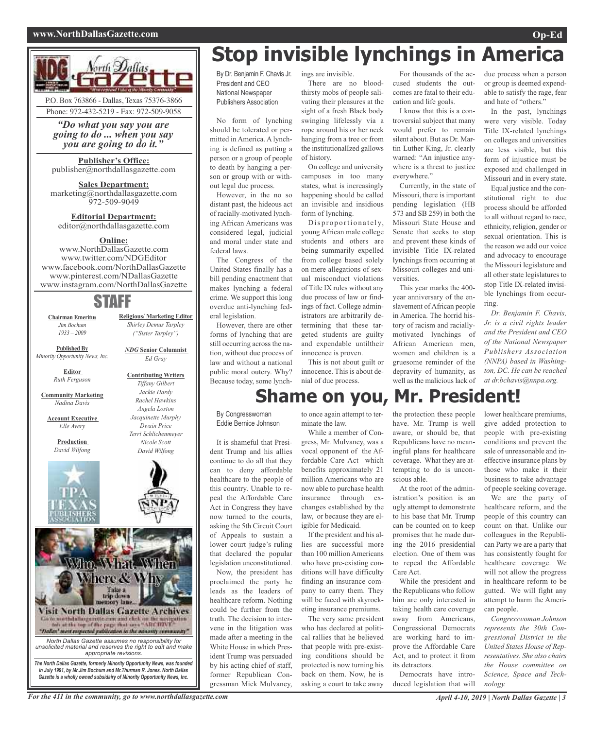#### **www.NorthDallasGazette.com Op-Ed**



*"Do what you say you are going to do ... when you say you are going to do it."*

#### **Publisher's Office:** publisher@northdallasgazette.com

**Sales Department:** marketing@northdallasgazette.com 972-509-9049

### **Editorial Department:** editor@northdallasgazette.com

### **Online:**

www.NorthDallasGazette.com www.twitter.com/NDGEditor www.facebook.com/NorthDallasGazette www.pinterest.com/NDallasGazette www.instagram.com/NorthDallasGazette

### STAFF

**Chairman Emeritus** *Jim Bochum 1933 – 2009*

*Shirley Demus Tarpley ("Sister Tarpley") NDG* **Senior Columnist**

**Religious/ Marketing Editor**

*Ed Gray*

**Contributing Writers**

**Published By** *Minority Opportunity News, Inc.*

> **Editor** *Ruth Ferguson*

**Community Marketing** *Nadina Davis*

**Account Executive** *Elle Avery*

**Production**



*Tiffany Gilbert Jackie Hardy Rachel Hawkins Angela Loston Dwain Price Nicole Scott*





# **Stop invisible lynchings in America**

By Dr. Benjamin F. Chavis Jr. President and CEO National Newspaper Publishers Association

No form of lynching should be tolerated or permitted in America. A lynching is defined as putting a person or a group of people to death by hanging a person or group with or without legal due process.

However, in the no so distant past, the hideous act of racially-motivated lynching African Americans was considered legal, judicial and moral under state and federal laws.

The Congress of the United States finally has a bill pending enactment that makes lynching a federal crime. We support this long overdue anti-lynching federal legislation.

However, there are other forms of lynching that are still occurring across the nation, without due process of law and without a national public moral outcry. Why? Because today, some lynchings are invisible.

There are no bloodthirsty mobs of people salivating their pleasures at the sight of a fresh Black body swinging lifelessly via a rope around his or her neck hanging from a tree or from the institutionalIzed gallows of history.

On college and university campuses in too many states, what is increasingly happening should be called an invisible and insidious form of lynching.

Disproportionately, young African male college students and others are being summarily expelled from college based solely on mere allegations of sexual misconduct violations of Title IX rules without any due process of law or findings of fact. College administrators are arbitrarily determining that these targeted students are guilty and expendable untiltheir innocence is proven.

This is not about guilt or innocence. This is about denial of due process.

For thousands of the accused students the outcomes are fatal to their education and life goals.

I know that this is a controversial subject that many would prefer to remain silent about. But as Dr. Martin Luther King, Jr. clearly warned: "An injustice anywhere is a threat to justice everywhere."

Currently, in the state of Missouri, there is important pending legislation (HB 573 and SB 259) in both the Missouri State House and Senate that seeks to stop and prevent these kinds of invisible Title IX-related lynchings from occurring at Missouri colleges and universities.

This year marks the 400 year anniversary of the enslavement of African people in America. The horrid history of racism and raciallymotivated lynchings of African American men, women and children is a gruesome reminder of the depravity of humanity, as well as the malicious lack of due process when a person or group is deemed expendable to satisfy the rage, fear and hate of "others."

In the past, lynchings were very visible. Today Title IX-related lynchings on colleges and universities are less visible, but this form of injustice must be exposed and challenged in Missouri and in every state.

Equal justice and the constitutional right to due process should be afforded to all without regard to race, ethnicity, religion, gender or sexual orientation. This is the reason we add our voice and advocacy to encourage the Missouri legislature and all other state legislatures to stop Title IX-related invisible lynchings from occurring.

*Dr. Benjamin F. Chavis, Jr. is a civil rights leader and the President and CEO of the National Newspaper Publishers Association (NNPA) based in Washington, DC. He can be reached at dr.bchavis@nnpa.org.*

**Shame on you, Mr. President!**

By Congresswoman Eddie Bernice Johnson

It is shameful that President Trump and his allies continue to do all that they can to deny affordable healthcare to the people of this country. Unable to repeal the Affordable Care Act in Congress they have now turned to the courts, asking the 5th Circuit Court of Appeals to sustain a lower court judge's ruling that declared the popular legislation unconstitutional.

Now, the president has proclaimed the party he leads as the leaders of healthcare reform. Nothing could be further from the truth. The decision to intervene in the litigation was made after a meeting in the White House in which President Trump was persuaded by his acting chief of staff, former Republican Congressman Mick Mulvaney,

to once again attempt to terminate the law.

While a member of Congress, Mr. Mulvaney, was a vocal opponent of the Affordable Care Act which benefits approximately 21 million Americans who are now able to purchase health insurance through exchanges established by the law, or because they are eligible for Medicaid.

If the president and his allies are successful more than 100 million Americans who have pre-existing conditions will have difficulty finding an insurance company to carry them. They will be faced with skyrocketing insurance premiums.

The very same president who has declared at political rallies that he believed that people with pre-existing conditions should be protected is now turning his back on them. Now, he is asking a court to take away the protection these people have. Mr. Trump is well aware, or should be, that Republicans have no meaningful plans for healthcare coverage. What they are attempting to do is unconscious able.

At the root of the administration's position is an ugly attempt to demonstrate to his base that Mr. Trump can be counted on to keep promises that he made during the 2016 presidential election. One of them was to repeal the Affordable Care Act.

While the president and the Republicans who follow him are only interested in taking health care coverage away from Americans, Congressional Democrats are working hard to improve the Affordable Care Act, and to protect it from its detractors.

Democrats have introduced legislation that will lower healthcare premiums, give added protection to people with pre-existing conditions and prevent the sale of unreasonable and ineffective insurance plans by those who make it their business to take advantage of people seeking coverage.

We are the party of healthcare reform, and the people of this country can count on that. Unlike our colleagues in the Republican Party we are a party that has consistently fought for healthcare coverage. We will not allow the progress in healthcare reform to be gutted. We will fight any attempt to harm the American people.

*Congresswoman Johnson represents the 30th Congressional District in the United States House of Representatives. She also chairs the House committee on Science, Space and Technology.*

For the 411 in the community, go to www.northdallasgazette.com April 4-10, 2019 | North Dallas Gazette | 3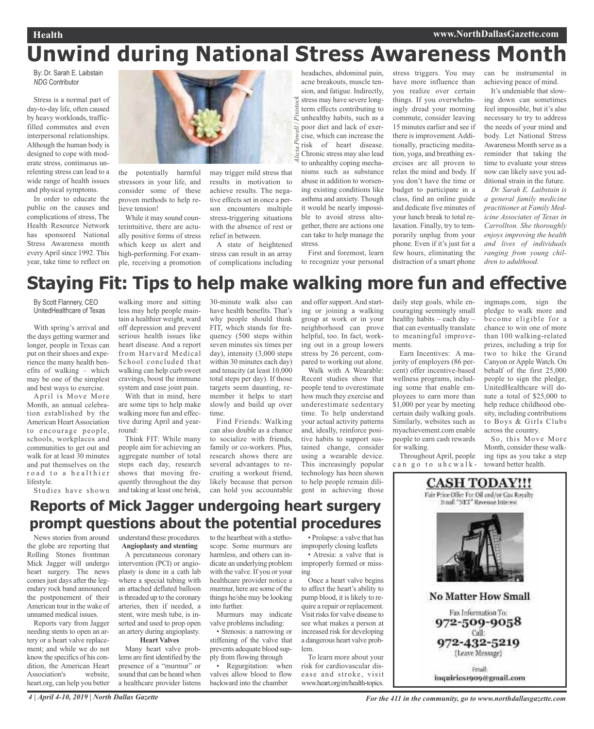# **Unwind during National Stress Awareness Month**

ricia

By: Dr. Sarah E. Laibstain *NDG* Contributor

Stress is a normal part of day-to-day life, often caused by heavy workloads, trafficfilled commutes and even interpersonal relationships. Although the human body is designed to cope with moderate stress, continuous unrelenting stress can lead to a wide range of health issues and physical symptoms.

In order to educate the public on the causes and complications of stress, The Health Resource Network has sponsored National Stress Awareness month every April since 1992. This year, take time to reflect on



the potentially harmful stressors in your life, and consider some of these proven methods to help relieve tension!

While it may sound counterintuitive, there are actually positive forms of stress which keep us alert and high-performing. For example, receiving a promotion may trigger mild stress that results in motivation to achieve results. The negative effects set in once a person encounters multiple stress-triggering situations with the absence of rest or relief in between.

A state of heightened stress can result in an array of complications including

headaches, abdominal pain, acne breakouts, muscle tension, and fatigue. Indirectly, *Alicia Powell / Pixistock* stress may have severe longterm effects contributing to Pix unhealthy habits, such as a poor diet and lack of exer- $P_{\rm OW6}$ cise, which can increase the risk of heart disease. Chronic stress may also lead to unhealthy coping mechanisms such as substance abuse in addition to worsening existing conditions like asthma and anxiety. Though it would be nearly impossible to avoid stress alto-

can take to help manage the stress. First and foremost, learn

gether, there are actions one

to recognize your personal

stress triggers. You may have more influence than you realize over certain things. If you overwhelmingly dread your morning commute, consider leaving 15 minutes earlier and see if there is improvement. Additionally, practicing meditation, yoga, and breathing exercises are all proven to relax the mind and body. If you don't have the time or budget to participate in a class, find an online guide and dedicate five minutes of your lunch break to total relaxation. Finally, try to temporarily unplug from your phone. Even if it's just for a few hours, eliminating the distraction of a smart phone

can be instrumental in achieving peace of mind.

It's undeniable that slowing down can sometimes feel impossible, but it's also necessary to try to address the needs of your mind and body. Let National Stress Awareness Month serve as a reminder that taking the time to evaluate your stress now can likely save you additional strain in the future.

*Dr. Sarah E. Laibstain is a general family medicine practitioner at Family Medicine Associates of Texas in Carrollton. She thoroughly enjoys improving the health and lives of individuals ranging from young children to adulthood.*

# **Staying Fit: Tips to help make walking more fun and effective**

By Scott Flannery, CEO UnitedHealthcare of Texas

With spring's arrival and the days getting warmer and longer, people in Texas can put on their shoes and experience the many health benefits of walking – which may be one of the simplest and best ways to exercise.

April is Move More Month, an annual celebration established by the American Heart Association to encourage people, schools, workplaces and communities to get out and walk for at least 30 minutes and put themselves on the road to a healthier lifestyle.

Studies have shown

walking more and sitting less may help people maintain a healthier weight, ward off depression and prevent serious health issues like heart disease. And a report from Harvard Medical School concluded that walking can help curb sweet cravings, boost the immune system and ease joint pain.

With that in mind, here are some tips to help make walking more fun and effective during April and yearround:

Think FIT: While many people aim for achieving an aggregate number of total steps each day, research shows that moving frequently throughout the day and taking at least one brisk,

30-minute walk also can have health benefits. That's why people should think FIT, which stands for frequency (500 steps within seven minutes six times per day), intensity (3,000 steps within 30 minutes each day) and tenacity (at least 10,000 total steps per day). If those targets seem daunting, remember it helps to start slowly and build up over time. Find Friends: Walking

can also double as a chance to socialize with friends, family or co-workers. Plus, research shows there are several advantages to recruiting a workout friend, likely because that person can hold you accountable and offer support. And starting or joining a walking group at work or in your neighborhood can prove helpful, too. In fact, working out in a group lowers stress by 26 percent, compared to working out alone.

Walk with A Wearable: Recent studies show that people tend to overestimate how much they exercise and underestimate sedentary time. To help understand your actual activity patterns and, ideally, reinforce positive habits to support sustained change, consider using a wearable device. This increasingly popular technology has been shown to help people remain diligent in achieving those

daily step goals, while encouraging seemingly small healthy habits – each day – that can eventually translate to meaningful improvements.

Earn Incentives: A majority of employers (86 percent) offer incentive-based wellness programs, including some that enable employees to earn more than \$1,000 per year by meeting certain daily walking goals. Similarly, websites such as myachievement.com enable people to earn cash rewards for walking.

Throughout April, people can go to uhcwalk-

ingmaps.com, sign the pledge to walk more and become eligible for a chance to win one of more than 100 walking-related prizes, including a trip for two to hike the Grand Canyon or Apple Watch. On behalf of the first 25,000 people to sign the pledge, UnitedHealthcare will donate a total of \$25,000 to help reduce childhood obesity, including contributions to Boys & Girls Clubs across the country.

So, this Move More Month, consider these walking tips as you take a step toward better health.



### **Reports of Mick Jagger undergoing heart surgery prompt questions about the potential procedures**

News stories from around the globe are reporting that Rolling Stones frontman Mick Jagger will undergo heart surgery. The news comes just days after the legendary rock band announced the postponement of their American tour in the wake of unnamed medical issues.

Reports vary from Jagger needing stents to open an artery or a heart valve replacement; and while we do not know the specifics of his condition, the American Heart Association's website, heart.org, can help you better understand these procedures. **Angioplasty and stenting**

A percutaneous coronary intervention (PCI) or angioplasty is done in a cath lab where a special tubing with an attached deflated balloon is threaded up to the coronary arteries, then if needed, a stent, wire mesh tube, is inserted and used to prop open an artery during angioplasty.

### **Heart Valves**

Many heart valve problems are first identified by the presence of a "murmur" or sound that can be heard when a healthcare provider listens to the heartbeat with a stethoscope. Some murmurs are harmless, and others can indicate an underlying problem with the valve. If you or your healthcare provider notice a murmur, here are some of the things he/she may be looking into further.

Murmurs may indicate valve problems including:

• Stenosis: a narrowing or stiffening of the valve that prevents adequate blood supply from flowing through

Regurgitation: when valves allow blood to flow backward into the chamber

• Prolapse: a valve that has improperly closing leaflets

• Atresia: a valve that is improperly formed or missing

Once a heart valve begins to affect the heart's ability to pump blood, it is likely to require a repair or replacement. Visit risks for valve disease to see what makes a person at increased risk for developing a dangerous heart valve problem.

To learn more about your risk for cardiovascular disease and stroke, visit www.heart.org/en/health-topics.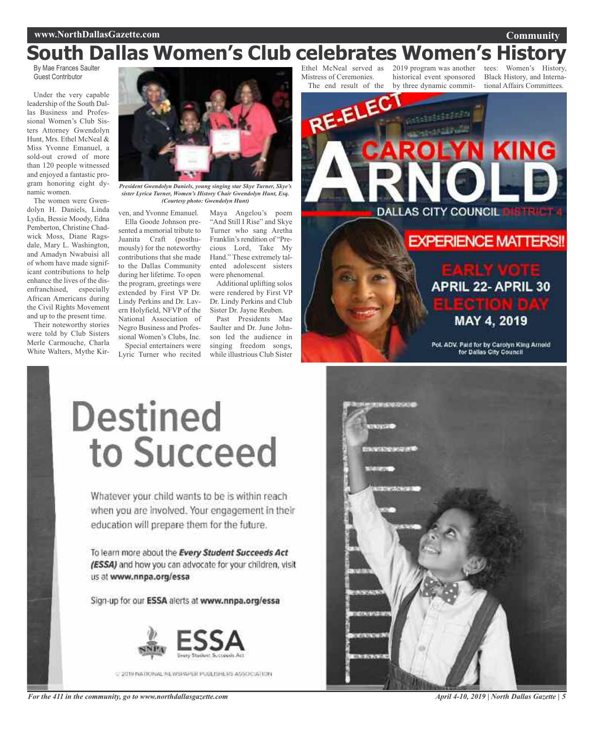### **Community**

# **South Dallas Women's Club celebrates Women's History**

By Mae Frances Saulter Guest Contributor

Under the very capable leadership of the South Dallas Business and Professional Women's Club Sisters Attorney Gwendolyn Hunt, Mrs. Ethel McNeal & Miss Yvonne Emanuel, a sold-out crowd of more than 120 people witnessed and enjoyed a fantastic program honoring eight dynamic women.

The women were Gwendolyn H. Daniels, Linda Lydia, Bessie Moody, Edna Pemberton, Christine Chadwick Moss, Diane Ragsdale, Mary L. Washington, and Amadyn Nwabuisi all of whom have made significant contributions to help enhance the lives of the disenfranchised, especially African Americans during the Civil Rights Movement and up to the present time.

Their noteworthy stories were told by Club Sisters Merle Carmouche, Charla White Walters, Mythe Kir-



*President Gwendolyn Daniels, young singing star Skye Turner, Skye's sister Lyrica Turner, Women's History Chair Gwendolyn Hunt, Esq. (Courtesy photo: Gwendolyn Hunt)*

ven, and Yvonne Emanuel. Ella Goode Johnson presented a memorial tribute to Juanita Craft (posthumously) for the noteworthy contributions that she made to the Dallas Community during her lifetime. To open the program, greetings were extended by First VP Dr. Lindy Perkins and Dr. Lavern Holyfield, NFVP of the National Association of Negro Business and Professional Women's Clubs, Inc.

Special entertainers were Lyric Turner who recited

Maya Angelou's poem "And Still I Rise" and Skye Turner who sang Aretha Franklin's rendition of "Precious Lord, Take My Hand." These extremely talented adolescent sisters were phenomenal.

Additional uplifting solos were rendered by First VP Dr. Lindy Perkins and Club Sister Dr. Jayne Reuben.

Past Presidents Mae Saulter and Dr. June Johnson led the audience in singing freedom songs, while illustrious Club Sister

Ethel McNeal served as Mistress of Ceremonies.

The end result of the by three dynamic commit-2019 program was another historical event sponsored

tees: Women's Black History, and International Affairs Committees.



MAY 4, 2019

Pol. ADV. Paid for by Carolyn King Arnold for Dallas City Council

# Destined to Succeed

Whatever your child wants to be is within reach when you are involved. Your engagement in their education will prepare them for the future.

To learn more about the Every Student Succeeds Act (ESSA) and how you can advocate for your children, visit us at www.nnpa.org/essa

Sign-up for our ESSA alerts at www.nnpa.org/essa



C 2019 NATIONAL NUWERAPLE PUBLISHERS ASSOCIATION





*April 4-10, 2019 | North Dallas Gazette | 5*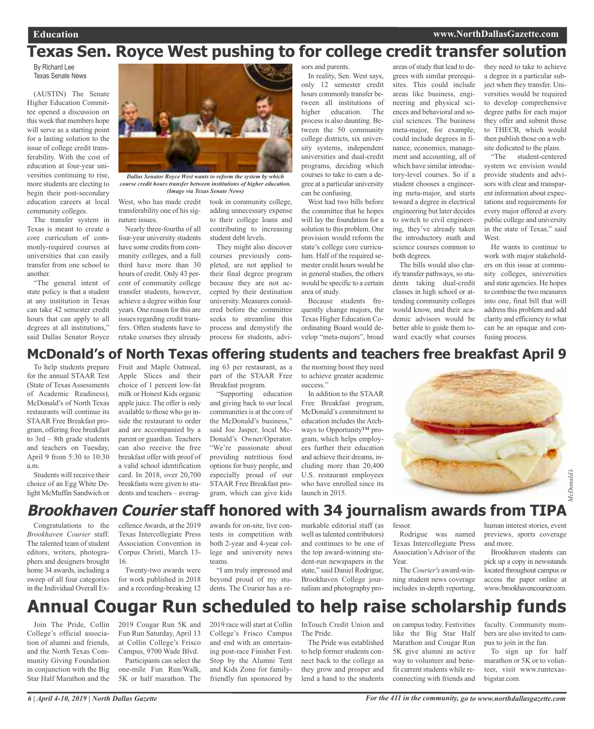# **Texas Sen. Royce West pushing to for college credit transfer solution**

By Richard Lee Texas Senate News

(AUSTIN) The Senate Higher Education Committee opened a discussion on this week that members hope will serve as a starting point for a lasting solution to the issue of college credit transferability. With the cost of education at four-year universities continuing to rise, more students are electing to begin their post-secondary education careers at local community colleges.

The transfer system in Texas is meant to create a core curriculum of commonly-required courses at universities that can easily transfer from one school to another.

"The general intent of state policy is that a student at any institution in Texas can take 42 semester credit hours that can apply to all degrees at all institutions," said Dallas Senator Royce



*Dallas Senator Royce West wants to reform the system by which course credit hours transfer between institutions of higher education. (Image via Texas Senate News)*

West, who has made credit transferability one of his signature issues. Nearly three-fourths of all four-year university students

have some credits from community colleges, and a full third have more than 30 hours of credit. Only 43 percent of community college transfer students, however, achieve a degree within four years. One reason for this are issues regarding credit transfers. Often students have to retake courses they already

took in community college, adding unnecessary expense to their college loans and contributing to increasing student debt levels.

They might also discover courses previously completed, are not applied to their final degree program because they are not accepted by their destination university. Measures considered before the committee seeks to streamline this process and demystify the process for students, advisors and parents. In reality, Sen. West says, only 12 semester credit hours commonly transfer between all institutions of higher education. The process is also daunting. Between the 50 community college districts, six university systems, independent universities and dual-credit programs, deciding which courses to take to earn a degree at a particular university can be confusing.

West had two bills before the committee that he hopes will lay the foundation for a solution to this problem. One provision would reform the state's college core curriculum. Half of the required semester credit hours would be in general studies, the others would be specific to a certain area of study.

Because students frequently change majors, the Texas Higher Education Coordinating Board would develop "meta-majors", broad areas of study that lead to degrees with similar prerequisites. This could include areas like business, engineering and physical sciences and behavioral and social sciences. The business meta-major, for example, could include degrees in finance, economics, management and accounting, all of which have similar introductory-level courses. So if a student chooses a engineering meta-major, and starts toward a degree in electrical engineering but later decides to switch to civil engineering, they've already taken the introductory math and science courses common to both degrees.

The bills would also clarify transfer pathways, so students taking dual-credit classes in high school or attending community colleges would know, and their academic advisors would be better able to guide them toward exactly what courses they need to take to achieve a degree in a particular subject when they transfer. Universities would be required to develop comprehensive degree paths for each major they offer and submit those to THECB, which would then publish those on a website dedicated to the plans.

"The student-centered system we envision would provide students and advisors with clear and transparent information about expectations and requirements for every major offered at every public college and university in the state of Texas," said **West**.

He wants to continue to work with major stakeholders on this issue at community colleges, universities and state agencies. He hopes to combine the two measures into one, final bill that will addressthis problem and add clarity and efficiency to what can be an opaque and confusing process.

### **McDonald's of North Texas offering students and teachers free breakfast April 9**

To help students prepare for the annual STAAR Test (State of Texas Assessments of Academic Readiness), McDonald's of North Texas restaurants will continue its STAAR Free Breakfast program, offering free breakfast to 3rd – 8th grade students and teachers on Tuesday, April 9 from 5:30 to 10:30 a.m.

Students will receive their choice of an Egg White Delight McMuffin Sandwich or Fruit and Maple Oatmeal, Apple Slices and their choice of 1 percent low-fat milk or Honest Kids organic apple juice. The offer is only available to those who go inside the restaurant to order and are accompanied by a parent or guardian. Teachers can also receive the free breakfast offer with proof of a valid school identification card. In 2018, over 20,700 breakfasts were given to students and teachers – averaging 63 per restaurant, as a part of the STAAR Free Breakfast program.

"Supporting education and giving back to our local communities is at the core of the McDonald's business," said Joe Jasper, local Mc-Donald's Owner/Operator. "We're passionate about providing nutritious food options for busy people, and especially proud of our STAAR Free Breakfast program, which can give kids

the morning boost they need to achieve greater academic success."

In addition to the STAAR Free Breakfast program, McDonald's commitment to education includes the Archways to Opportunity™ program, which helps employees further their education and achieve their dreams, including more than 20,400 U.S. restaurant employees who have enrolled since its launch in 2015.



### **Brookhaven Courier staff honored with 34 journalism awards from TIPA**

Congratulations to the *Brookhaven Courier* staff. The talented team of student editors, writers, photographers and designers brought home 34 awards, including a sweep of all four categories in the Individual Overall Ex-

cellenceAwards, at the 2019 Texas Intercollegiate Press Association Convention in Corpus Christi, March 13- 16.

Twenty-two awards were for work published in 2018 and a recording-breaking 12

awards for on-site, live contests in competition with both 2-year and 4-year college and university news teams.

"I am truly impressed and beyond proud of my students. The Courier has a re-

markable editorial staff (as well astalented contributors) and continues to be one of the top award-winning student-run newspapers in the state," said Daniel Rodrigue, Brookhaven College journalism and photography professor.

Rodrigue was named Texas Intercollegiate Press Association's Advisor of the Year.

The *Courier's* award-winning student news coverage includes in-depth reporting,

human interest stories, event previews, sports coverage and more.

Brookhaven students can pick up a copy in newsstands located throughout campus or access the paper online at www./brookhavencourier.com.

# **Annual Cougar Run scheduled to help raise scholarship funds**

Join The Pride, Collin College's official association of alumni and friends, and the North Texas Community Giving Foundation in conjunction with the Big Star Half Marathon and the 2019 Cougar Run 5K and Fun Run Saturday, April 13 at Collin College's Frisco Campus, 9700 Wade Blvd.

Participants can select the one-mile Fun Run/Walk, 5K or half marathon. The

2019 race will start at Collin College's Frisco Campus and end with an entertaining post-race Finisher Fest. Stop by the Alumni Tent and Kids Zone for familyfriendly fun sponsored by

InTouch Credit Union and The Pride.

The Pride was established to help former students connect back to the college as they grow and prosper and lend a hand to the students on campus today. Festivities like the Big Star Half Marathon and Cougar Run 5K give alumni an active way to volunteer and benefit current students while reconnecting with friends and

faculty. Community members are also invited to campus to join in the fun.

To sign up for half marathon or 5K or to volunteer, visit www.runtexasbigstar.com.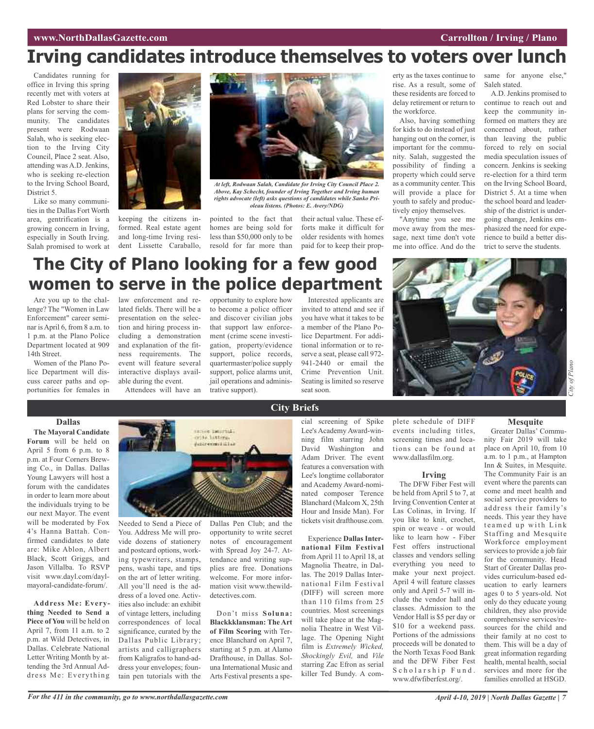# **Irving candidates introduce themselves to voters over lunch**

Candidates running for office in Irving this spring recently met with voters at Red Lobster to share their plans for serving the community. The candidates present were Rodwaan Salah, who is seeking election to the Irving City Council, Place 2 seat. Also, attending was A.D. Jenkins, who is seeking re-election to the Irving School Board, District 5.

Like so many communities in the Dallas Fort Worth area, gentrification is a growing concern in Irving, especially in South Irving. Salah promised to work at



keeping the citizens informed. Real estate agent and long-time Irving resident Lissette Caraballo,



*At left, Rodwaan Salah, Candidate for Irving City Council Place 2. Above, Kay Schecht, founder of Irving Together and Irving human rights advocate (left) asks questions of candidates while Sanko Prioleau listens. (Photos: E. Avery/NDG)*

pointed to the fact that homes are being sold for less than \$50,000 only to be resold for far more than

their actual value. These efforts make it difficult for older residents with homes paid for to keep their property as the taxes continue to rise. As a result, some of these residents are forced to delay retirement or return to the workforce.

Also, having something for kids to do instead of just hanging out on the corner, is important for the community. Salah, suggested the possibility of finding a property which could serve as a community center. This will provide a place for youth to safely and productively enjoy themselves.

"Anytime you see me move away from the message, next time don't vote me into office. And do the same for anyone else," Saleh stated.

A.D. Jenkins promised to continue to reach out and keep the community informed on matters they are concerned about, rather than leaving the public forced to rely on social media speculation issues of concern. Jenkins is seeking re-election for a third term on the Irving School Board, District 5. At a time when the school board and leadership of the district is undergoing change, Jenkins emphasized the need for experience to build a better district to serve the students.

# **The City of Plano looking for a few good women to serve in the police department**

Are you up to the challenge? The "Women in Law Enforcement" career seminar is April 6, from 8 a.m. to 1 p.m. at the Plano Police Department located at 909 14th Street.

Women of the Plano Police Department will discuss career paths and opportunities for females in

**Dallas The Mayoral Candidate Forum** will be held on April 5 from 6 p.m. to 8 p.m. at Four Corners Brewing Co., in Dallas. Dallas Young Lawyers will host a forum with the candidates in order to learn more about the individuals trying to be our next Mayor. The event will be moderated by Fox 4's Hanna Battah. Confirmed candidates to date are: Mike Ablon, Albert Black, Scott Griggs, and Jason Villalba. To RSVP visit www.dayl.com/daylmayoral-candidate-forum/.

**Address Me: Everything Needed to Send a Piece of You** will be held on April 7, from 11 a.m. to 2 p.m. at Wild Detectives, in Dallas. Celebrate National Letter Writing Month by attending the 3rd Annual Address Me: Everything

### law enforcement and related fields. There will be a presentation on the selection and hiring process including a demonstration and explanation of the fitness requirements. The event will feature several interactive displays available during the event.

Attendees will have an

Needed to Send a Piece of You. Address Me will provide dozens of stationery and postcard options, working typewriters, stamps, pens, washi tape, and tips on the art of letter writing. All you'll need is the address of a loved one. Activities also include: an exhibit of vintage letters, including correspondences of local significance, curated by the Dallas Public Library; artists and calligraphers from Kaligrafos to hand-address your envelopes; fountain pen tutorials with the

opportunity to explore how to become a police officer and discover civilian jobs that support law enforcement (crime scene investigation, property/evidence support, police records, quartermaster/police supply support, police alarms unit, jail operations and administrative support).

Dallas Pen Club; and the opportunity to write secret notes of encouragement with Spread Joy 24-7. Attendance and writing supplies are free. Donations welcome. For more information visit www.thewild-

Don't miss **Soluna: Blackkklansman: The Art of Film Scoring** with Terence Blanchard on April 7, starting at 5 p.m. at Alamo Drafthouse, in Dallas. Soluna International Music and Arts Festival presents a spe-

detectives.com.

Interested applicants are invited to attend and see if you have what it takes to be a member of the Plano Police Department. For additional information or to reserve a seat, please call 972- 941-2440 or email the Crime Prevention Unit. Seating is limited so reserve

cial screening of Spike Lee's Academy Award-winning film starring John David Washington and Adam Driver. The event features a conversation with Lee's longtime collaborator and Academy Award-nominated composer Terence Blanchard (Malcom X, 25th Hour and Inside Man). For tickets visit drafthouse.com.

Experience **Dallas International Film Festival** fromApril 11 to April 18, at Magnolia Theatre, in Dallas. The 2019 Dallas International Film Festival (DIFF) will screen more than 110 films from 25 countries. Most screenings will take place at the Magnolia Theatre in West Village. The Opening Night film is *Extremely Wicked, Shockingly Evil,* and *Vile* starring Zac Efron as serial killer Ted Bundy. A comwww.dallasfilm.org.

The DFW Fiber Fest will be held from April 5 to 7, at Irving Convention Center at Las Colinas, in Irving. If you like to knit, crochet, spin or weave - or would like to learn how - Fiber Fest offers instructional classes and vendors selling everything you need to make your next project. April 4 will feature classes only and April 5-7 will include the vendor hall and classes. Admission to the Vendor Hall is \$5 per day or \$10 for a weekend pass. Portions of the admissions proceeds will be donated to the North Texas Food Bank and the DFW Fiber Fest Scholarship Fund. www.dfwfiberfest.org/.

*City of*

*Plano*

plete schedule of DIFF events including titles, screening times and locations can be found at

### **Irving**

#### **Mesquite** Greater Dallas' Commu-

nity Fair 2019 will take place on April 10, from 10 a.m. to 1 p.m., at Hampton Inn & Suites, in Mesquite. The Community Fair is an event where the parents can come and meet health and social service providers to address their family's needs. This year they have teamed up with Link Staffing and Mesquite Workforce employment services to provide a job fair for the community. Head Start of Greater Dallas provides curriculum-based education to early learners ages 0 to 5 years-old. Not only do they educate young children, they also provide comprehensive services/resources for the child and their family at no cost to them. This will be a day of great information regarding health, mental health, social services and more for the families enrolled at HSGD.

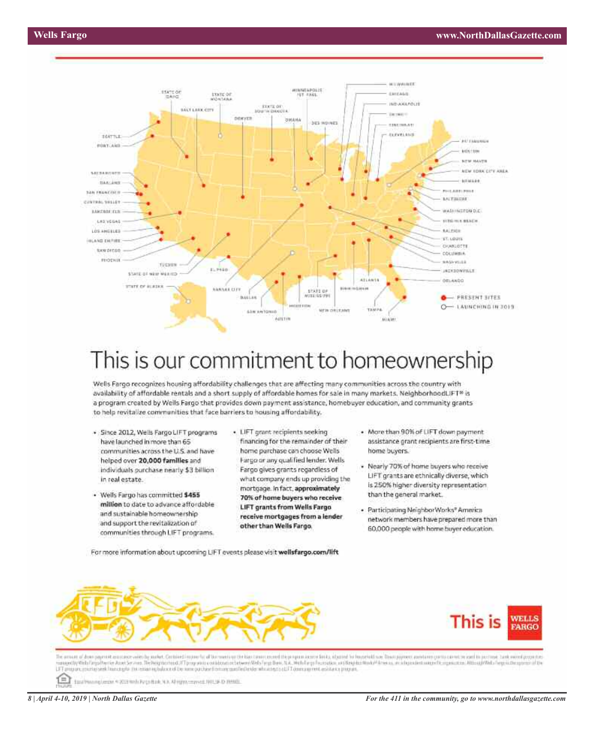

# This is our commitment to homeownership

Wells Fargo recognizes housing affordability challenges that are affecting many communities across the country with availability of affordable rentals and a short supply of affordable homes for sale in many markets. NeighborhoodLIFT® is a program created by Wells Fargo that provides down payment assistance, homebuyer education, and community grants to help revitalize communities that face barriers to housing affordability.

- · Since 2012, Wells Fargo LIFT programs have launched in more than 65 communities across the U.S. and have helped over 20,000 families and individuals purchase nearly \$3 billion in real estate.
- · Wells Fargo has committed \$455 million to date to advance affordable and sustainable homeownership and support the revitalization of communities through LIFT programs.
- · LIFT grant recipients seeking financing for the remainder of their home purchase can choose Wells Firgo or any qualified lender. Wells Fargo gives grants regardless of what company ends up providing the mortgage. In fact, approximately 70% of home buyers who receive LIFT grants from Wells Fargo receive mortgages from a lender other than Wells Fargo.
- · More than 90% of LIFT down payment assistance grant recipients are first-time home buyers.
- · Nearly 70% of home buyers who receive LIFT grants are ethnically diverse, which is 250% higher diversity representation. than the general market.
- · Participating NeighborWorks® America network members have prepared more than 60,000 people with home buyer education.

For more information about upcoming LIFT events please visit wellsfargo.com/lift





The present of dependence over the system by market. Contributions for all the maxima the black toward proceed this proposed metals, adupted for household may David payment assistance constance contained as payment assista NE THINK PAYOEN APASHTUES tenisid He

relette \* 203 mili Prosibak N.R. Altigist mayor NVLU-D Bridit **Barut**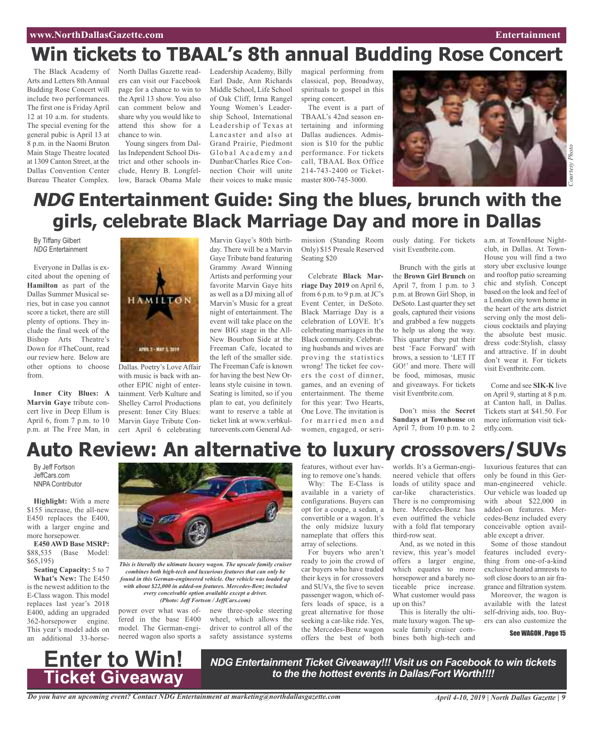#### **www.NorthDallasGazette.com Entertainment**

# **Win tickets to TBAAL's 8th annual Budding Rose Concert**

The Black Academy of Arts and Letters 8th Annual Budding Rose Concert will include two performances. The first one is Friday April 12 at 10 a.m. for students. The special evening for the general pubic is April 13 at 8 p.m. in the Naomi Bruton Main Stage Theatre located at 1309 Canton Street, at the Dallas Convention Center Bureau Theater Complex.

North Dallas Gazette readers can visit our Facebook page for a chance to win to the April 13 show. You also can comment below and share why you would like to attend this show for a chance to win.

Young singers from Dallas Independent School District and other schools include, Henry B. Longfellow, Barack Obama Male

Leadership Academy, Billy Earl Dade, Ann Richards Middle School, Life School of Oak Cliff, Irma Rangel Young Women's Leadership School, International Leadership of Texas at Lancaster and also at Grand Prairie, Piedmont Global Academy and Dunbar/Charles Rice Connection Choir will unite their voices to make music

magical performing from classical, pop, Broadway, spirituals to gospel in this spring concert.

The event is a part of TBAAL's 42nd season entertaining and informing Dallas audiences. Admission is \$10 for the public performance. For tickets call, TBAAL Box Office 214-743-2400 or Ticketmaster 800-745-3000.



# **NDG Entertainment Guide: Sing the blues, brunch with the girls, celebrate Black Marriage Day and more in Dallas**

By Tiffany Gilbert *NDG* Entertainment

Everyone in Dallas is excited about the opening of **Hamilton** as part of the Dallas Summer Musical series, but in case you cannot score a ticket, there are still plenty of options. They include the final week of the Bishop Arts Theatre's Down for #TheCount, read our review here. Below are other options to choose from.

**Inner City Blues: A Marvin Gaye** tribute concert live in Deep Ellum is April 6, from 7 p.m. to 10 p.m. at The Free Man, in **HAMILTON** APRIL 2 - MAY 5, 2019

Dallas. Poetry's Love Affair with music is back with another EPIC night of entertainment. Verb Kulture and Shelley Carrol Productions present: Inner City Blues: Marvin Gaye Tribute Concert April 6 celebrating

Marvin Gaye's 80th birthday. There will be a Marvin Gaye Tribute band featuring Grammy Award Winning Artists and performing your favorite Marvin Gaye hits as well as a DJ mixing all of Marvin's Music for a great night of entertainment. The event will take place on the new BIG stage in the All-New Bourbon Side at the Freeman Cafe, located to the left of the smaller side. The Freeman Cafe is known for having the best New Orleans style cuisine in town. Seating is limited, so if you plan to eat, you definitely want to reserve a table at ticket link at www.verbkultureevents.com General Ad-

mission (Standing Room ously dating. For tickets Only) \$15 Presale Reserved Seating \$20

Celebrate **Black Marriage Day 2019** on April 6, from 6 p.m. to 9 p.m. at  $JC's$ Event Center, in DeSoto. Black Marriage Day is a celebration of LOVE. It's celebrating marriages in the Black community. Celebrating husbands and wives are proving the statistics wrong! The ticket fee covers the cost of dinner, games, and an evening of entertainment. The theme for this year: Two Hearts, One Love. The invitation is for married men and women, engaged, or serivisit Eventbrite.com.

Brunch with the girls at the **Brown Girl Brunch** on April 7, from 1 p.m. to 3 p.m. at Brown Girl Shop, in DeSoto. Last quarter they set goals, captured their visions and grabbed a few nuggets to help us along the way. This quarter they put their best 'Face Forward' with brows, a session to 'LET IT GO!' and more. There will be food, mimosas, music and giveaways. For tickets visit Eventbrite.com.

Don't miss the **Secret Sundays at Townhouse** on April 7, from 10 p.m. to 2

a.m. at TownHouse Nightclub, in Dallas. At Town-House you will find a two story uber exclusive lounge and rooftop patio screaming chic and stylish. Concept based on the look and feel of a London city town home in the heart of the arts district serving only the most delicious cocktails and playing the absolute best music. dress code:Stylish, classy and attractive. If in doubt don't wear it. For tickets visit Eventbrite.com.

Come and see **SIK-K** live on April 9, starting at 8 p.m. at Canton hall, in Dallas. Tickets start at \$41.50. For more information visit ticketfly.com.

# **Auto Review: An alternative to luxury crossovers/SUVs**

By Jeff Fortson JeffCars.com NNPA Contributor

**Highlight:** With a mere \$155 increase, the all-new E450 replaces the E400, with a larger engine and more horsepower.

**E450 AWD Base MSRP:** \$88,535 (Base Model: \$65,195)

**Seating Capacity:** 5 to 7 **What's New:** The E450 is the newest addition to the E-Class wagon. This model replaces last year's 2018 E400, adding an upgraded 362-horsepower engine. This year's model adds on an additional 33-horse-



*This is literally the ultimate luxury wagon. The upscale family cruiser combines both high-tech and luxurious features that can only be found in this German-engineered vehicle. Our vehicle was loaded up with about \$22,000 in added-on features. Mercedes-Benz included every conceivable option available except a driver. (Photo: Jeff Fortson / JeffCars.com)*

driver to control all of the

power over what was offered in the base E400 model. The German-engineered wagon also sports a new three-spoke steering wheel, which allows the safety assistance systems

features, without ever hav-

ing to remove one's hands. Why: The E-Class is available in a variety of configurations. Buyers can opt for a coupe, a sedan, a convertible or a wagon. It's the only midsize luxury nameplate that offers this array of selections.

For buyers who aren't ready to join the crowd of car buyers who have traded their keys in for crossovers and SUVs, the five to seven passenger wagon, which offers loads of space, is a great alternative for those seeking a car-like ride. Yes, the Mercedes-Benz wagon offers the best of both

worlds. It's a German-engineered vehicle that offers loads of utility space and car-like characteristics. There is no compromising here. Mercedes-Benz has even outfitted the vehicle with a fold flat temporary third-row seat.

And, as we noted in this review, this year's model offers a larger engine, which equates to more horsepower and a barely noticeable price increase. What customer would pass up on this?

This is literally the ultimate luxury wagon. The upscale family cruiser combines both high-tech and luxurious features that can only be found in this German-engineered vehicle. Our vehicle was loaded up with about \$22,000 in added-on features. Mercedes-Benz included every conceivable option available except a driver.

Some of those standout features included everything from one-of-a-kind exclusive heated armrests to soft close doors to an air fragrance and filtration system.

Moreover, the wagon is available with the latest self-driving aids, too. Buyers can also customize the

See WAGON , Page 15



*NDG Entertainment Ticket Giveaway!!! Visit us on Facebook to win tickets to the the hottest events in Dallas/Fort Worth!!!!*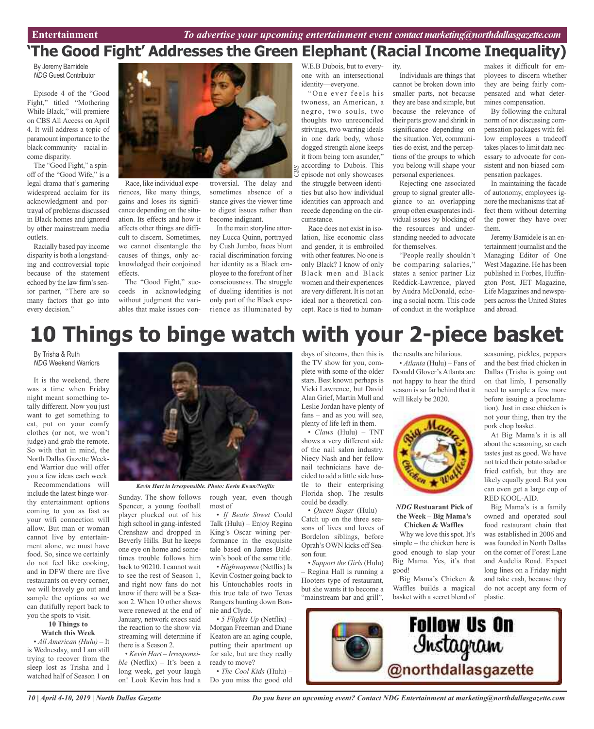ity.

# **'The Good Fight' Addresses the Green Elephant (Racial Income Inequality)**

*S*

By Jeremy Bamidele *NDG* Guest Contributor

Episode 4 of the "Good Fight," titled "Mothering While Black," will premiere on CBS All Access on April 4. It will address a topic of paramount importance to the black community—racial income disparity.

The "Good Fight," a spinoff of the "Good Wife," is a legal drama that's garnering widespread acclaim for its acknowledgment and portrayal of problems discussed in Black homes and ignored by other mainstream media outlets.

Racially based pay income disparity is both a longstanding and controversial topic because of the statement echoed by the law firm's senior partner, "There are so many factors that go into every decision."



Race, like individual experiences, like many things, gains and loses its significance depending on the situation. Its effects and how it affects other things are difficult to discern. Sometimes, we cannot disentangle the causes of things, only acknowledged their conjoined effects.

The "Good Fight," succeeds in acknowledging without judgment the variables that make issues con-

Crenshaw and dropped in Beverly Hills. But he keeps one eye on home and sometimes trouble follows him back to 90210. I cannot wait to see the rest of Season 1, and right now fans do not know if there will be a Season 2. When 10 other shows were renewed at the end of January, network execs said the reaction to the show via streaming will determine if

there is a Season 2.

• *Kevin Hart – Irresponsible* (Netflix) – It's been a long week, get your laugh on! Look Kevin has had a

troversial. The delay and sometimes absence of a stance gives the viewer time to digest issues rather than become indignant. *CB*

In the main storyline attorney Lucca Quinn, portrayed by Cush Jumbo, faces blunt racial discrimination forcing her identity as a Black employee to the forefront of her consciousness. The struggle of dueling identities is not only part of the Black experience as illuminated by

W.E.B Dubois, but to everyone with an intersectional identity—everyone.

"One ever feels his twoness, an American, a negro, two souls, two thoughts two unreconciled strivings, two warring ideals in one dark body, whose dogged strength alone keeps it from being torn asunder," according to Dubois. This episode not only showcases the struggle between identities but also how individual identities can approach and recede depending on the circumstance.

Race does not exist in isolation, like economic class and gender, it is embroiled with other features. No one is only Black? I know of only Black men and Black women and their experiences are very different. It is not an ideal nor a theoretical concept. Race is tied to human-

Individuals are things that cannot be broken down into smaller parts, not because they are base and simple, but because the relevance of their parts grow and shrink in significance depending on the situation. Yet, communities do exist, and the perceptions of the groups to which you belong will shape your personal experiences.

Rejecting one associated group to signal greater allegiance to an overlapping group often exasperatesindividual issues by blocking of the resources and understanding needed to advocate for themselves.

"People really shouldn't be comparing salaries," states a senior partner Liz Reddick-Lawrence, played by Audra McDonald, echoing a social norm. This code of conduct in the workplace

makes it difficult for employees to discern whether they are being fairly compensated and what determines compensation.

By following the cultural norm of not discussing compensation packages with fellow employees a tradeoff takes places to limit data necessary to advocate for consistent and non-biased compensation packages.

In maintaining the facade of autonomy, employees ignore the mechanisms that affect them without deterring the power they have over them.

Jeremy Bamidele is an entertainment journalist and the Managing Editor of One West Magazine. He has been published in Forbes, Huffington Post, JET Magazine, Life Magazines and newspapers across the United States and abroad.

# **10 Things to binge watch with your 2-piece basket**

By Trisha & Ruth *NDG* Weekend Warriors

It is the weekend, there was a time when Friday night meant something totally different. Now you just want to get something to eat, put on your comfy clothes (or not, we won't judge) and grab the remote. So with that in mind, the North Dallas Gazette Weekend Warrior duo will offer you a few ideas each week.

Recommendations will include the latest binge worthy entertainment options coming to you as fast as your wifi connection will allow. But man or woman cannot live by entertainment alone, we must have food. So, since we certainly do not feel like cooking, and in DFW there are five restaurants on every corner, we will bravely go out and sample the options so we can dutifully report back to you the spots to visit.

#### **10 Things to Watch this Week**

• *All American (Hulu)* – It is Wednesday, and I am still trying to recover from the sleep lost as Trisha and I watched half of Season 1 on



*Kevin Hart in Irresponsible. Photo: Kevin Kwan/Netflix*

Sunday. The show follows Spencer, a young football player plucked out of his high school in gang-infested rough year, even though most of • *If Beale Street* Could Talk (Hulu) – Enjoy Regina

King's Oscar wining performance in the exquisite tale based on James Baldwin's book of the same title.

• *Highwaymen* (Netflix) Is Kevin Costner going back to his Untouchables roots in this true tale of two Texas Rangers hunting down Bonnie and Clyde.

• *5 Flights Up* (Netflix) – Morgan Freeman and Diane Keaton are an aging couple, putting their apartment up for sale, but are they really ready to move?

• *The Cool Kids* (Hulu) – Do you miss the good old days of sitcoms, then this is the TV show for you, complete with some of the older stars. Best known perhaps is Vicki Lawrence, but David Alan Grief, Martin Mull and Leslie Jordan have plenty of fans – and as you will see, plenty of life left in them.

• *Claws* (Hulu) – TNT shows a very different side of the nail salon industry. Niecy Nash and her fellow nail technicians have decided to add a little side hustle to their enterprising Florida shop. The results could be deadly.

• *Queen Sugar* (Hulu) – Catch up on the three seasons of lives and loves of Bordelon siblings, before Oprah's OWN kicks off Season four.

• *Support the Girls* (Hulu) – Regina Hall is running a Hooters type of restaurant, but she wants it to become a "mainstream bar and grill",

the results are hilarious. • *Atlanta* (Hulu) – Fans of Donald Glover's Atlanta are not happy to hear the third season is so far behind that it

will likely be 2020.



*NDG* **Restuarant Pick of the Week – Big Mama's Chicken & Waffles**

Why we love this spot. It's simple – the chicken here is good enough to slap your Big Mama. Yes, it's that good!

Big Mama's Chicken & Waffles builds a magical basket with a secret blend of

seasoning, pickles, peppers and the best fried chicken in Dallas (Trisha is going out on that limb, I personally need to sample a few more before issuing a proclamation). Just in case chicken is not your thing, then try the pork chop basket.

At Big Mama's it is all about the seasoning, so each tastes just as good. We have not tried their potato salad or fried catfish, but they are likely equally good. But you can even get a large cup of RED KOOL-AID.

Big Mama's is a family owned and operated soul food restaurant chain that was established in 2006 and wasfounded in North Dallas on the corner of Forest Lane and Audelia Road. Expect long lines on a Friday night and take cash, because they do not accept any form of plastic.

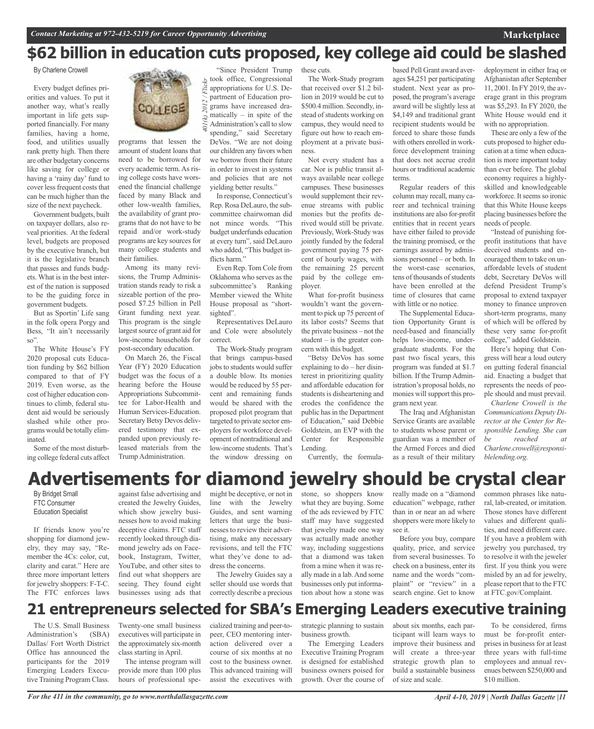# **\$62 billion in education cuts proposed, key college aid could be slashed**

By Charlene Crowell

Every budget defines priorities and values. To put it another way, what's really important in life gets supported financially. For many families, having a home, food, and utilities usually rank pretty high. Then there are other budgetary concerns like saving for college or having a 'rainy day' fund to cover less frequent costs that can be much higher than the size of the next paycheck.

Government budgets, built on taxpayer dollars, also reveal priorities. At the federal level, budgets are proposed by the executive branch, but it is the legislative branch that passes and funds budgets. What is in the best interest of the nation is supposed to be the guiding force in government budgets.

But as Sportin' Life sang in the folk opera Porgy and Bess, "It ain't necessarily so".

The White House's FY 2020 proposal cuts Education funding by \$62 billion compared to that of FY 2019. Even worse, as the cost of higher education continues to climb, federal student aid would be seriously slashed while other programs would be totally eliminated.

Some of the most disturbing college federal cuts affect



2012/

programs that lessen the amount of student loans that need to be borrowed for every academic term.As rising college costs have worsened the financial challenge faced by many Black and other low-wealth families, the availability of grant programs that do not have to be repaid and/or work-study programs are key sources for many college students and their families.

Among its many revisions, the Trump Administration stands ready to risk a sizeable portion of the proposed \$7.25 billion in Pell Grant funding next year. This program is the single largest source of grant aid for low-income households for post-secondary education.

On March 26, the Fiscal Year (FY) 2020 Education budget was the focus of a hearing before the House Appropriations Subcommittee for Labor-Health and Human Services-Education. Secretary Betsy Devos delivered testimony that expanded upon previously released materials from the Trump Administration.

"Since President Trump took office, Congressional Flickr *401(k) 2012 / Flickr* appropriations for U.S. Department of Education programs have increased dramatically  $-$  in spite of the Administration's call to slow spending," said Secretary DeVos. "We are not doing our children any favors when we borrow from their future in order to invest in systems and policies that are not yielding better results."

In response, Connecticut's Rep. Rosa DeLauro, the subcommittee chairwoman did not mince words. "This budget underfunds education at every turn", said DeLauro who added, "This budget inflicts harm.'

Even Rep. Tom Cole from Oklahoma who serves as the subcommittee's Ranking Member viewed the White House proposal as "shortsighted".

Representatives DeLauro and Cole were absolutely correct.

The Work-Study program that brings campus-based jobs to students would suffer a double blow. Its monies would be reduced by 55 percent and remaining funds would be shared with the proposed pilot program that targeted to private sector employers for workforce development of nontraditional and low-income students. That's the window dressing on

these cuts.

The Work-Study program that received over \$1.2 billion in 2019 would be cut to \$500.4 million. Secondly, instead of students working on campus, they would need to figure out how to reach employment at a private business.

Not every student has a car. Nor is public transit always available near college campuses. These businesses would supplement their revenue streams with public monies but the profits derived would still be private. Previously, Work-Study was jointly funded by the federal government paying 75 percent of hourly wages, with the remaining 25 percent paid by the college employer.

What for-profit business wouldn't want the government to pick up 75 percent of its labor costs? Seems that the private business – not the student – is the greater concern with this budget.

"Betsy DeVos has some explaining to do – her disinterest in prioritizing quality and affordable education for students is disheartening and erodes the confidence the public has in the Department of Education," said Debbie Goldstein, an EVP with the Center for Responsible Lending.

Currently, the formula-

based Pell Grant award averages \$4,251 per participating student. Next year as proposed, the program's average award will be slightly less at \$4,149 and traditional grant recipient students would be forced to share those funds with others enrolled in workforce development training that does not accrue credit hours or traditional academic terms.

Regular readers of this column may recall, many career and technical training institutions are also for-profit entities that in recent years have either failed to provide the training promised, or the earnings assured by admissions personnel – or both. In the worst-case scenarios, tens of thousands of students have been enrolled at the time of closures that came with little or no notice.

The Supplemental Education Opportunity Grant is need-based and financially helps low-income, undergraduate students. For the past two fiscal years, this program was funded at \$1.7 billion. If the Trump Administration's proposal holds, no monies will support this program next year.

The Iraq and Afghanistan Service Grants are available to students whose parent or guardian was a member of the Armed Forces and died as a result of their military

deployment in either Iraq or Afghanistan after September 11, 2001. In FY 2019, the average grant in this program was \$5,293. In FY 2020, the White House would end it with no appropriation.

These are only a few of the cuts proposed to higher education at a time when education is more important today than ever before. The global economy requires a highlyskilled and knowledgeable workforce. It seems so ironic that this White House keeps placing businesses before the needs of people.

"Instead of punishing forprofit institutions that have deceived students and encouraged them to take on unaffordable levels of student debt, Secretary DeVos will defend President Trump's proposal to extend taxpayer money to finance unproven short-term programs, many of which will be offered by these very same for-profit college," added Goldstein.

Here's hoping that Congress will hear a loud outcry on gutting federal financial aid. Enacting a budget that represents the needs of people should and must prevail.

*Charlene Crowell is the Communications Deputy Director at the Center for Responsible Lending. She can be reached at Charlene.crowell@responsiblelending.org.*

# **Advertisements for diamond jewelry should be crystal clear**

By Bridget Small FTC Consumer Education Specialist

If friends know you're shopping for diamond jewelry, they may say, "Remember the 4Cs: color, cut, clarity and carat." Here are three more important letters for jewelry shoppers: F-T-C. The FTC enforces laws

against false advertising and created the Jewelry Guides, which show jewelry businesses how to avoid making deceptive claims. FTC staff recently looked through diamond jewelry ads on Facebook, Instagram, Twitter, YouTube, and other sites to find out what shoppers are seeing. They found eight businesses using ads that might be deceptive, or not in line with the Jewelry Guides, and sent warning letters that urge the businesses to review their advertising, make any necessary revisions, and tell the FTC what they've done to address the concerns.

The Jewelry Guides say a seller should use words that correctly describe a precious stone, so shoppers know what they are buying. Some of the ads reviewed by FTC staff may have suggested that jewelry made one way was actually made another way, including suggestions that a diamond was taken from a mine when it was really made in a lab.And some businesses only put information about how a stone was

really made on a "diamond education" webpage, rather than in or near an ad where shoppers were more likely to see it.

Before you buy, compare quality, price, and service from several businesses. To check on a business, enter its name and the words "complaint" or "review" in a search engine. Get to know

common phrases like natural, lab-created, or imitation. Those stones have different values and different qualities, and need different care. If you have a problem with jewelry you purchased, try to resolve it with the jeweler first. If you think you were misled by an ad for jewelry, please report that to the FTC at FTC.gov/Complaint.

# **21 entrepreneurs selected for SBA's Emerging Leaders executive training**

The U.S. Small Business Administration's (SBA) Dallas/ Fort Worth District Office has announced the participants for the 2019 Emerging Leaders Executive Training Program Class.

Twenty-one small business executives will participate in the approximately six-month class starting in April.

The intense program will provide more than 100 plus hours of professional specialized training and peer-topeer, CEO mentoring interaction delivered over a course of six months at no cost to the business owner. This advanced training will assist the executives with

strategic planning to sustain business growth.

The Emerging Leaders Executive Training Program is designed for established business owners poised for growth. Over the course of

about six months, each participant will learn ways to improve their business and will create a three-year strategic growth plan to build a sustainable business of size and scale.

To be considered, firms must be for-profit enterprises in business for at least three years with full-time employees and annual revenues between \$250,000 and \$10 million.

**Marketplace**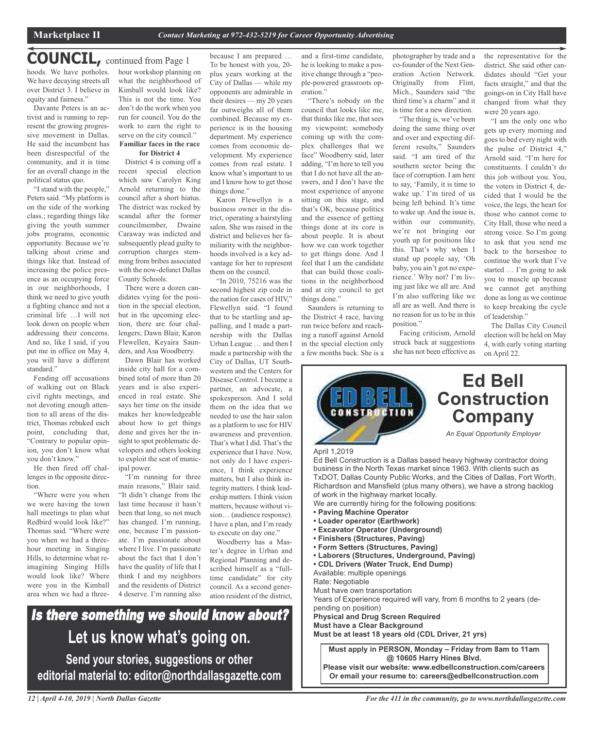### **COUNCIL,** continued from Page <sup>1</sup>

hoods. We have potholes. We have decaying streets all over District 3. I believe in equity and fairness."

Davante Peters is an activist and is running to represent the growing progressive movement in Dallas. He said the incumbent has been disrespectful of the community, and it is time for an overall change in the political status quo.

"I stand with the people," Peters said. "My platform is on the side of the working class.; regarding things like giving the youth summer jobs programs, economic opportunity. Because we're talking about crime and things like that. Instead of increasing the police presence as an occupying force in our neighborhoods, I think we need to give youth a fighting chance and not a criminal life …I will not look down on people when addressing their concerns. And so, like I said, if you put me in office on May 4, you will have a different standard."

Fending off accusations of walking out on Black civil rights meetings, and not devoting enough attention to all areas of the district, Thomas rebuked each point, concluding that, "Contrary to popular opinion, you don't know what you don't know."

He then fired off challenges in the opposite direction.

"Where were you when we were having the town hall meetings to plan what Redbird would look like?" Thomas said. "Where were you when we had a threehour meeting in Singing Hills, to determine what reimagining Singing Hills would look like? Where were you in the Kimball area when we had a threehour workshop planning on what the neighborhood of Kimball would look like? This is not the time. You don't do the work when you run for council. You do the work to earn the right to serve on the city council." **Familiar faces in the race**

### **for District 4**

District 4 is coming off a recent special election which saw Carolyn King Arnold returning to the council after a short hiatus. The district was rocked by scandal after the former councilmember, Dwaine Caraway was indicted and subsequently plead guilty to corruption charges stemming from bribes associated with the now-defunct Dallas County Schools.

There were a dozen candidates vying for the position in the special election, but in the upcoming election, there are four challengers; Dawn Blair, Karon Flewellen, Keyaira Saunders, and Asa Woodberry.

Dawn Blair has worked inside city hall for a combined total of more than 20 years and is also experienced in real estate. She says her time on the inside makes her knowledgeable about how to get things done and gives her the insight to spot problematic developers and others looking to exploit the seat of municipal power.

"I'm running for three main reasons," Blair said. "It didn't change from the last time because it hasn't been that long, so not much has changed. I'm running, one, because I'm passionate. I'm passionate about where I live. I'm passionate about the fact that I don't have the quality of life that I think I and my neighbors and the residents of District 4 deserve. I'm running also

because I am prepared … To be honest with you, 20 plus years working at the City of Dallas — while my opponents are admirable in their desires — my 20 years far outweighs all of them combined. Because my experience is in the housing department. My experience comes from economic development. My experience comes from real estate. I know what's important to us and I know how to get those things done."

Karon Flewellyn is a business owner in the district, operating a hairstyling salon. She was raised in the district and believes her familiarity with the neighborhoods involved is a key advantage for her to represent them on the council.

"In 2010, 75216 was the second highest zip code in the nation for cases of HIV," Flewellyn said. "I found that to be startling and appalling, and I made a partnership with the Dallas Urban League … and then I made a partnership with the City of Dallas, UT Southwestern and the Centers for Disease Control. I became a partner, an advocate, a spokesperson. And I sold them on the idea that we needed to use the hair salon as a platform to use for HIV awareness and prevention. That's what I did. That's the experience that I have. Now, not only do I have experience, I think experience matters, but I also think integrity matters. I think leadership matters. I think vision matters, because without vision… (audience response). I have a plan, and I'm ready to execute on day one."

Woodberry has a Master's degree in Urban and Regional Planning and described himself as a "fulltime candidate" for city council. As a second generation resident of the district,

# Is there something we should know about? **Let us know what's going on. Send your stories, suggestions or other editorial material to: editor@northdallasgazette.com**

*12 | April 4-10, 2019 | North Dallas Gazette*

and a first-time candidate, he is looking to make a positive change through a "people-powered grassroots operation."

"There's nobody on the council that looks like me, that thinks like me, that sees my viewpoint; somebody coming up with the complex challenges that we face" Woodberry said, later adding, "I'm here to tell you that I do not have all the answers, and I don't have the most experience of anyone sitting on this stage, and that's OK, because politics and the essence of getting things done at its core is about people. It is about how we can work together to get things done. And I feel that I am the candidate that can build those coalitions in the neighborhood and at city council to get things done."

Saunders is returning to the District 4 race, having run twice before and reaching a runoff against Arnold in the special election only a few months back. She is a photographer by trade and a co-founder of the Next Generation Action Network. Originally from Flint, Mich., Saunders said "the third time's a charm" and it is time for a new direction.

"The thing is, we've been doing the same thing over and over and expecting different results," Saunders said. "I am tired of the southern sector being the face of corruption. I am here to say, 'Family, it is time to wake up.' I'm tired of us being left behind. It's time to wake up. And the issue is, within our community, we're not bringing our youth up for positions like this. That's why when I stand up people say, 'Oh baby, you ain't got no experience.' Why not? I'm living just like we all are. And I'm also suffering like we all are as well. And there is no reason for us to be in this position."

Facing criticism, Arnold struck back at suggestions she has not been effective as the representative for the district. She said other candidates should "Get your facts straight," and that the goings-on in City Hall have changed from what they were 20 years ago.

"I am the only one who gets up every morning and goes to bed every night with the pulse of District 4," Arnold said. "I'm here for constituents. I couldn't do this job without you. You, the voters in District 4, decided that I would be the voice, the legs, the heart for those who cannot come to City Hall, those who need a strong voice. So I'm going to ask that you send me back to the horseshoe to continue the work that I've started … I'm going to ask you to muscle up because we cannot get anything done as long as we continue to keep breaking the cycle of leadership."

The Dallas City Council election will be held on May 4, with early voting starting on April 22.

![](_page_11_Picture_30.jpeg)

**Must apply in PERSON, Monday – Friday from 8am to 11am @ 10605 Harry Hines Blvd.**

**Please visit our website: www.edbellconstruction.com/careers Or email your resume to: careers@edbellconstruction.com**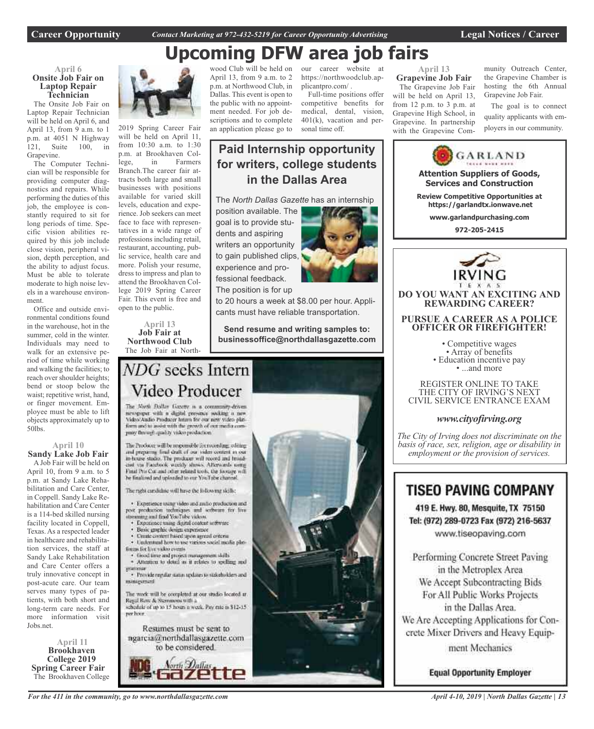**April 6**

**Laptop Repair Technician**

April 13, from  $9$  a.m. to 1 p.m. at 4051 N Highway 121, Suite 100, in

The Computer Technician will be responsible for providing computer diagnostics and repairs. While performing the duties of this job, the employee is constantly required to sit for long periods of time. Specific vision abilities required by this job include close vision, peripheral vision, depth perception, and the ability to adjust focus. Must be able to tolerate moderate to high noise levels in a warehouse environ-

Office and outside environmental conditions found in the warehouse, hot in the summer, cold in the winter. Individuals may need to walk for an extensive period of time while working and walking the facilities; to reach over shoulder heights; bend or stoop below the waist; repetitive wrist, hand, or finger movement. Employee must be able to lift objects approximately up to

**April 10 Sandy Lake Job Fair** A Job Fair will be held on April 10, from 9 a.m. to 5 p.m. at Sandy Lake Rehabilitation and Care Center, in Coppell. Sandy Lake Rehabilitation and Care Center is a 114-bed skilled nursing facility located in Coppell, Texas. As a respected leader in healthcare and rehabilitation services, the staff at Sandy Lake Rehabilitation and Care Center offers a truly innovative concept in post-acute care. Our team serves many types of patients, with both short and long-term care needs. For more information visit

Grapevine.

ment.

50lbs.

Jobs.net.

**April 11 Brookhaven College 2019 Spring Career Fair** The Brookhaven College

**Career Opportunity** *Contact Marketing at 972-432-5219 for Career Opportunity Advertising* **Legal Notices / Career**

# **Upcoming DFW area job fairs**

**Paid Internship opportunity**

**for writers, college students in the Dallas Area**

The *North Dallas Gazette* has an internship

to 20 hours a week at \$8.00 per hour. Applicants must have reliable transportation.

**Send resume and writing samples to: businessoffice@northdallasgazette.com**

![](_page_12_Picture_4.jpeg)

2019 Spring Career Fair will be held on April 11, from 10:30 a.m. to 1:30 p.m. at Brookhaven College, in Farmers Branch.The career fair attracts both large and small businesses with positions available for varied skill levels, education and experience. Job seekers can meet face to face with representatives in a wide range of professions including retail, restaurant, accounting, public service, health care and more. Polish your resume, dress to impress and plan to attend the Brookhaven College 2019 Spring Career Fair. This event is free and

> **April 13 Job Fair at**

wood Club will be held on April 13, from 9 a.m. to 2 p.m. at Northwood Club, in Dallas. This event is open to the public with no appointment needed. For job descriptions and to complete an application please go to

position available. The goal is to provide students and aspiring writers an opportunity to gain published clips, experience and professional feedback. The position is for up

our career website at https://northwoodclub.applicantpro.com/ . Full-time positions offer

competitive benefits for medical, dental, vision, 401(k), vacation and personal time off.

#### **April 13 Grapevine Job Fair**

The Grapevine Job Fair will be held on April 13, from 12 p.m. to 3 p.m. at Grapevine High School, in Grapevine. In partnership with the Grapevine Community Outreach Center, the Grapevine Chamber is hosting the 6th Annual Grapevine Job Fair.

The goal is to connect quality applicants with employers in our community.

![](_page_12_Picture_14.jpeg)

*basis of race, sex, religion, age or disability in employment or the provision of services.*

### **TISEO PAVING COMPANY**

Tel: (972) 289-0723 Fax (972) 216-5637 www.tiseopaving.com

Performing Concrete Street Paving in the Metroplex Area We Accept Subcontracting Bids For All Public Works Projects in the Dallas Area. We Are Accepting Applications for Concrete Mixer Drivers and Heavy Equipment Mechanics

**Equal Opportunity Employer** 

open to the public.

**Northwood Club** The Job Fair at North-

### NDG seeks Intern Video Producer

The North Dallas Gazette is a community-driven newspaper with a digital prosence socking a new Video Audio Producer Intam for our new video plat-<br>form and to assist with the growth of our media company through quality video production

The Producer will be responsible for recording, editing and preparing final draft of our video content in our in-house stadio. The producer will record and broad-cast via Facebook witchly shows. Afterwards using Final Pro Cut and other related tools, the footage will he finalized and uploaded to our YouTube channel

The right cardidate will have the following skills:

· Experience using video and and/o production and post production techniques and software for live streaming and final YouTube Videos.

- Experience mang digital content settware
- Basic graphic design experience
- Create circuret based upon agreed criteria · Understand how to use various social media plat-
- timms for live video events
- · Good time and project management skills<br>· Attention to detail as it relates to spelling and
- · Provide regular status updates to stakeholders and
- miniarument

The work will be completed at our studio located at Regal Row & Stemmons with a schedule of up to 15 hours a week. Pay rate is \$12-15. ner hoor.

Resumes must be sent to ngarcia@northdallasgazette.com to be considered.

**Vorth Dallas** 

![](_page_12_Picture_38.jpeg)

*For the 411 in the community, go to www.northdallasgazette.com*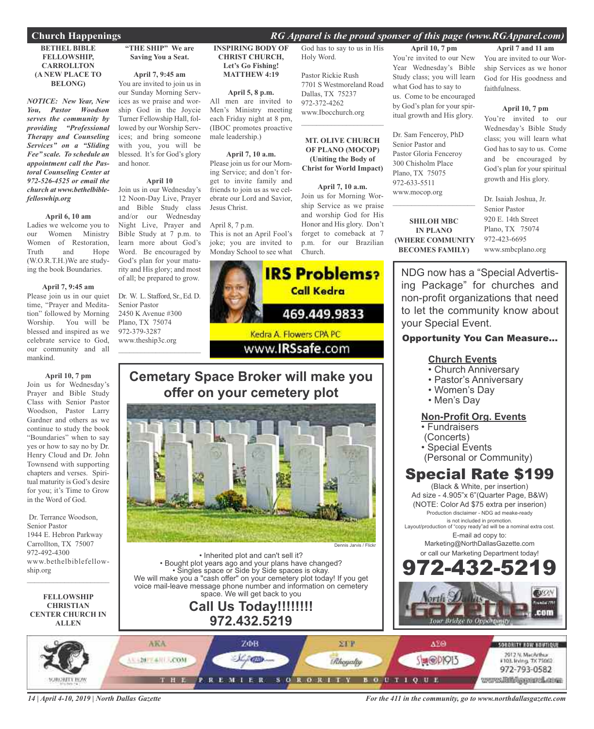#### **BETHEL BIBLE FELLOWSHIP, CARROLLTON (A NEW PLACE TO BELONG)**

*NOTICE: New Year, New You, Pastor Woodson serves the community by providing "Professional Therapy and Counseling Services" on a "Sliding Fee" scale. To schedule an appointment call the Pastoral Counseling Center at 972-526-4525 or email the church at www.bethelbiblefelloswhip.org*

#### **April 6, 10 am**

Ladies we welcome you to our Women Ministry Women of Restoration, Truth and Hope (W.O.R.T.H.)We are studying the book Boundaries.

#### **April 7, 9:45 am**

Please join us in our quiet time, "Prayer and Meditation" followed by Morning Worship. You will be blessed and inspired as we celebrate service to God, our community and all mankind.

**April 10, 7 pm** Join us for Wednesday's Prayer and Bible Study Class with Senior Pastor Woodson, Pastor Larry Gardner and others as we continue to study the book "Boundaries" when to say yes or how to say no by Dr. Henry Cloud and Dr. John Townsend with supporting chapters and verses. Spiritual maturity is God's desire

Dr. Terrance Woodson, Senior Pastor 1944 E. Hebron Parkway Carrollton, TX 75007 972-492-4300 www.bethelbiblefellowship.org

for you; it's Time to Grow in the Word of God.

**FELLOWSHIP CHRISTIAN CENTER CHURCH IN ALLEN**

 $\mathcal{L}_\text{max}$  , which is a set of the set of the set of the set of the set of the set of the set of the set of the set of the set of the set of the set of the set of the set of the set of the set of the set of the set of

### **"THE SHIP" We are Saving You a Seat.**

**April 7, 9:45 am**

You are invited to join us in our Sunday Morning Services as we praise and worship God in the Joycie Turner Fellowship Hall, followed by our Worship Services; and bring someone with you, you will be blessed. It's for God's glory and honor.

### **April 10**

Join us in our Wednesday's 12 Noon-Day Live, Prayer and Bible Study class and/or our Wednesday Night Live, Prayer and Bible Study at 7 p.m. to learn more about God's Word. Be encouraged by God's plan for your maturity and His glory; and most of all; be prepared to grow.

Dr. W. L. Stafford, Sr., Ed. D. Senior Pastor 2450 K Avenue #300 Plano, TX 75074 972-379-3287 www.theship3c.org  $\overline{\phantom{a}}$  , and the set of the set of the set of the set of the set of the set of the set of the set of the set of the set of the set of the set of the set of the set of the set of the set of the set of the set of the s

#### **INSPIRING BODY OF CHRIST CHURCH, Let's Go Fishing! MATTHEW 4:19**

**April 5, 8 p.m.**

All men are invited to Men's Ministry meeting each Friday night at 8 pm, (IBOC promotes proactive male leadership.)

**April 7, 10 a.m.** Please join us for our Morning Service; and don't forget to invite family and friends to join us as we celebrate our Lord and Savior, Jesus Christ.

#### April 8, 7 p.m.

This is not an April Fool's joke; you are invited to Monday School to see what

![](_page_13_Picture_22.jpeg)

Pastor Rickie Rush 7701 S Westmoreland Road Dallas, TX 75237 972-372-4262 www.Ibocchurch.org

**MT. OLIVE CHURCH OF PLANO (MOCOP) (Uniting the Body of Christ for World Impact)**

 $\mathcal{L}_\text{max}$  , which is a set of the set of the set of the set of the set of the set of the set of the set of the set of the set of the set of the set of the set of the set of the set of the set of the set of the set of

### **April 7, 10 a.m.** Join us for Morning Worship Service as we praise and worship God for His Honor and His glory. Don't forget to comeback at 7 p.m. for our Brazilian

**April 10, 7 pm** You're invited to our New Year Wednesday's Bible Study class; you will learn what God has to say to us. Come to be encouraged by God's plan for your spiritual growth and His glory.

Dr. Sam Fenceroy, PhD Senior Pastor and Pastor Gloria Fenceroy 300 Chisholm Place Plano, TX 75075 972-633-5511 www.mocop.org

**SHILOH MBC IN PLANO (WHERE COMMUNITY BECOMES FAMILY)**

 $\overline{\phantom{a}}$  , and the set of the set of the set of the set of the set of the set of the set of the set of the set of the set of the set of the set of the set of the set of the set of the set of the set of the set of the s

**April 7 and 11 am** You are invited to our Worship Services as we honor God for His goodness and faithfulness.

#### **April 10, 7 pm**

You're invited to our Wednesday's Bible Study class; you will learn what God has to say to us. Come and be encouraged by God's plan for your spiritual growth and His glory.

Dr. Isaiah Joshua, Jr. Senior Pastor 920 E. 14th Street Plano, TX 75074 972-423-6695 www.smbcplano.org

NDG now has a "Special Advertising Package" for churches and non-profit organizations that need to let the community know about your Special Event.

### Opportunity You Can Measure...

### **Church Events**

- Church Anniversary
- Pastor's Anniversary
- Women's Day
- Men's Day

### **Non-Profit Org. Events**

- Fundraisers
- (Concerts)
- Special Events
- (Personal or Community)

### Special Rate \$199

(Black & White, per insertion) Ad size - 4.905"x 6"(Quarter Page, B&W) (NOTE: Color Ad \$75 extra per inserion) Production disclaimer - NDG ad meake-ready is not included in promotion.

Layout/production of "copy ready"ad will be a nominal extra cost. E-mail ad copy to:

> Marketing@NorthDallasGazette.com or call our Marketing Department today!

![](_page_13_Picture_49.jpeg)

ARA **STP** ΔΣΘ ZΦB SORORITY NOW BOUTFQUE 2012 N. MacArthur<br>#103. Irving. 7X 75062 11-20-7-4-11-LCOM 780 **Ahoyaly SHOPPIS** 972-793-0582 **SORORITY** www.Biblipperchare THE **REMIER**  $B$  O  $L$   $T$   $I$   $Q$   $U$   $E$ 

*14 | April 4-10, 2019 | North Dallas Gazette*

*For the 411 in the community, go to www.northdallasgazette.com*

![](_page_13_Picture_53.jpeg)

### **Cemetary Space Broker will make you offer on your cemetery plot**

![](_page_13_Picture_55.jpeg)

• Inherited plot and can't sell it? • Bought plot years ago and your plans have changed? • Singles space or Side by Side spaces is okay. We will make you a "cash offer" on your cemetery plot today! If you get voice mail-leave message phone number and information on cemetery space. We will get back to you **Call Us Today!!!!!!!! 972.432.5219**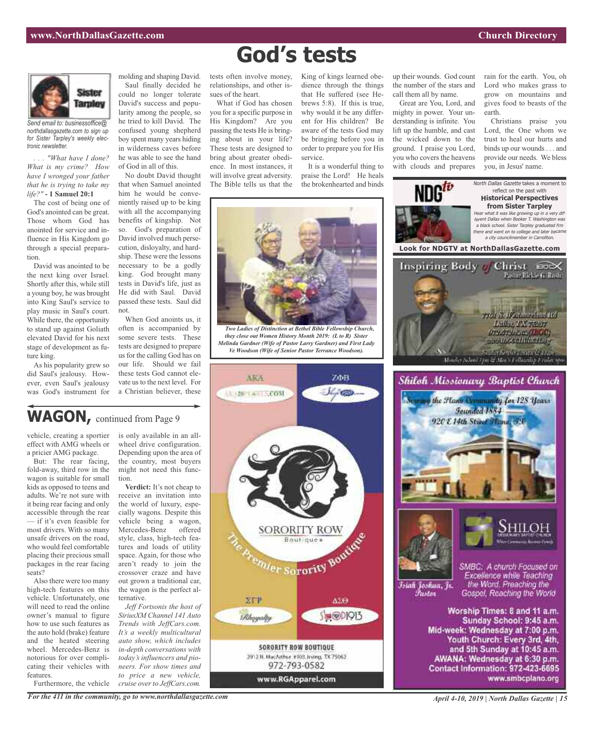rain for the earth. You, oh Lord who makes grass to grow on mountains and gives food to beasts of the

Christians praise you Lord, the One whom we trust to heal our hurts and binds up our wounds . . . and provide our needs. We bless you, in Jesus' name.

North Dallas Gazette takes a moment to

earth.

![](_page_14_Picture_2.jpeg)

*Send email to: businessoffice@ northdallasgazette.com to sign up for Sister Tarpley's weekly electronic newsletter.*

*. . . "What have I done? What is my crime? How have I wronged your father that he is trying to take my life?"* **- 1 Samuel 20:1**

The cost of being one of God's anointed can be great. Those whom God has anointed for service and influence in His Kingdom go through a special preparation.

David was anointed to be the next king over Israel. Shortly after this, while still a young boy, he was brought into King Saul's service to play music in Saul's court. While there, the opportunity to stand up against Goliath elevated David for his next stage of development as future king.

As his popularity grew so did Saul's jealousy. However, even Saul's jealousy was God's instrument for

molding and shaping David. Saul finally decided he could no longer tolerate David's success and popularity among the people, so he tried to kill David. The confused young shepherd boy spent many years hiding in wilderness caves before he was able to see the hand of God in all of this.

No doubt David thought that when Samuel anointed him he would be conveniently raised up to be king with all the accompanying benefits of kingship. Not so. God's preparation of David involved much persecution, disloyalty, and hardship. These were the lessons necessary to be a godly king. God brought many tests in David's life, just as He did with Saul. David passed these tests. Saul did not.

When God anoints us, it often is accompanied by some severe tests. These tests are designed to prepare us for the calling God has on our life. Should we fail these tests God cannot elevate us to the next level. For a Christian believer, these

is only available in an allwheel drive configuration. Depending upon the area of the country, most buyers might not need this func-

**Verdict:** It's not cheap to receive an invitation into the world of luxury, especially wagons. Despite this vehicle being a wagon, Mercedes-Benz offered style, class, high-tech features and loads of utility space. Again, for those who aren't ready to join the crossover craze and have out grown a traditional car, the wagon is the perfect al-

*SiriusXM Channel 141 Auto Trends with JeffCars.com. It's a weekly multicultural auto show, which includes in-depth conversations with today's influencers and pioneers. For show times and to price a new vehicle, cruise over to JeffCars.com.*

# **God's tests**

relationships, and other issues of the heart.

What if God has chosen you for a specific purpose in His Kingdom? Are you passing the tests He is bringing about in your life? These tests are designed to bring about greater obedience. In most instances, it will involve great adversity. The Bible tells us that the

tests often involve money, King of kings learned obedience through the things that He suffered (see Hebrews 5:8). If this is true, why would it be any different for His children? Be aware of the tests God may be bringing before you in order to prepare you for His service.

> It is a wonderful thing to praise the Lord! He heals the brokenhearted and binds

![](_page_14_Picture_16.jpeg)

*Two Ladies of Distinction at Bethel Bible Fellowship Church, they close out Women History Month 2019: (L to R) Sister Melinda Gardner (Wife of Pastor Larry Gardner) and First Lady Ve Woodson (Wife of Senior Pastor Terrance Woodson).*

![](_page_14_Picture_18.jpeg)

![](_page_14_Picture_19.jpeg)

up their wounds. God count the number of the stars and call them all by name.

Great are You, Lord, and mighty in power. Your understanding is infinite. You lift up the humble, and cast the wicked down to the ground. I praise you Lord, you who covers the heavens with clouds and prepares

Istali Joshua, Jr.

*Pastar* 

SMBC: A church Focused on Excellence while Teaching the Word. Preaching the Gospel, Reaching the World

Worship Times: 8 and 11 a.m. Sunday School: 9:45 a.m. Mid-week: Wednesday at 7:00 p.m. Youth Church: Every 3rd, 4th, and 5th Sunday at 10:45 a.m. AWANA: Wednesday at 6:30 p.m. Contact Information: 972-423-6695 www.smbcplano.org

WAGON, continued from Page 9

tion.

vehicle, creating a sportier effect with AMG wheels or a pricier AMG package.

But: The rear facing, fold-away, third row in the wagon is suitable for small kids as opposed to teens and adults. We're not sure with it being rear facing and only accessible through the rear — if it's even feasible for most drivers. With so many unsafe drivers on the road, who would feel comfortable placing their precious small packages in the rear facing seats?

Also there were too many high-tech features on this vehicle. Unfortunately, one will need to read the online owner's manual to figure how to use such features as the auto hold (brake) feature and the heated steering wheel. Mercedes-Benz is notorious for over complicating their vehicles with features.

Furthermore, the vehicle

*For the 411 in the community, go to www.northdallasgazette.com*

ternative.

*April 4-10, 2019 | North Dallas Gazette | 15*